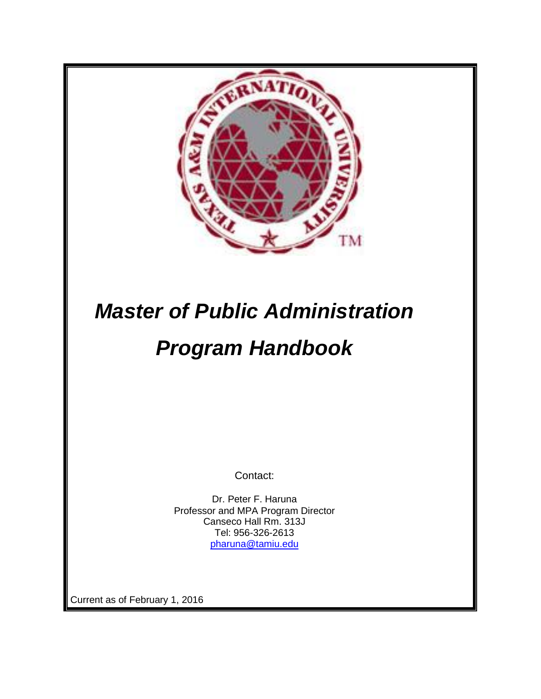

# *Master of Public Administration Program Handbook*

Contact:

Dr. Peter F. Haruna Professor and MPA Program Director Canseco Hall Rm. 313J Tel: 956-326-2613 [pharuna@tamiu.edu](mailto:pharuna@tamiu.edu)

Current as of February 1, 2016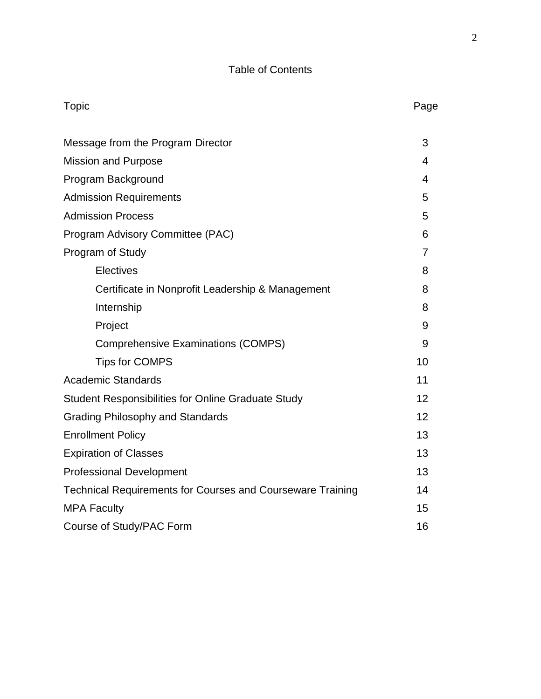# Table of Contents

| <b>Topic</b>                                                      | Page           |
|-------------------------------------------------------------------|----------------|
| Message from the Program Director                                 | 3              |
| <b>Mission and Purpose</b>                                        | 4              |
| Program Background                                                | 4              |
| <b>Admission Requirements</b>                                     | 5              |
| <b>Admission Process</b>                                          | 5              |
| Program Advisory Committee (PAC)                                  | 6              |
| Program of Study                                                  | $\overline{7}$ |
| Electives                                                         | 8              |
| Certificate in Nonprofit Leadership & Management                  | 8              |
| Internship                                                        | 8              |
| Project                                                           | 9              |
| <b>Comprehensive Examinations (COMPS)</b>                         | 9              |
| <b>Tips for COMPS</b>                                             | 10             |
| <b>Academic Standards</b>                                         | 11             |
| <b>Student Responsibilities for Online Graduate Study</b>         | 12             |
| <b>Grading Philosophy and Standards</b>                           | 12             |
| <b>Enrollment Policy</b>                                          | 13             |
| <b>Expiration of Classes</b>                                      | 13             |
| <b>Professional Development</b>                                   | 13             |
| <b>Technical Requirements for Courses and Courseware Training</b> | 14             |
| <b>MPA Faculty</b>                                                | 15             |
| Course of Study/PAC Form                                          | 16             |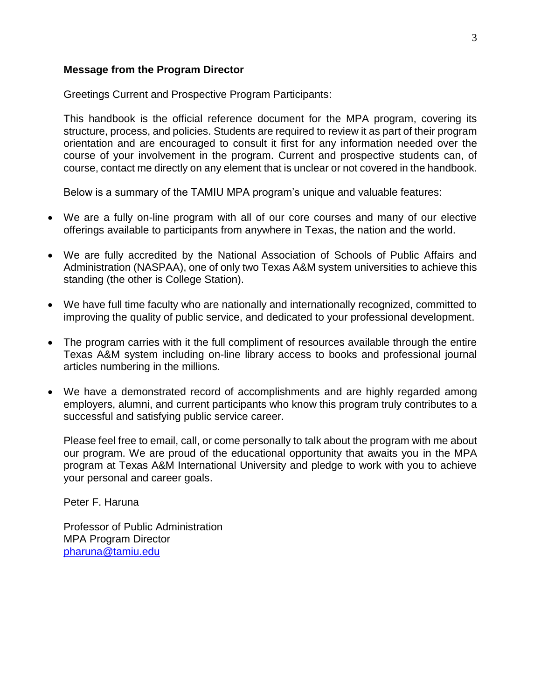#### **Message from the Program Director**

Greetings Current and Prospective Program Participants:

This handbook is the official reference document for the MPA program, covering its structure, process, and policies. Students are required to review it as part of their program orientation and are encouraged to consult it first for any information needed over the course of your involvement in the program. Current and prospective students can, of course, contact me directly on any element that is unclear or not covered in the handbook.

Below is a summary of the TAMIU MPA program's unique and valuable features:

- We are a fully on-line program with all of our core courses and many of our elective offerings available to participants from anywhere in Texas, the nation and the world.
- We are fully accredited by the National Association of Schools of Public Affairs and Administration (NASPAA), one of only two Texas A&M system universities to achieve this standing (the other is College Station).
- We have full time faculty who are nationally and internationally recognized, committed to improving the quality of public service, and dedicated to your professional development.
- The program carries with it the full compliment of resources available through the entire Texas A&M system including on-line library access to books and professional journal articles numbering in the millions.
- We have a demonstrated record of accomplishments and are highly regarded among employers, alumni, and current participants who know this program truly contributes to a successful and satisfying public service career.

Please feel free to email, call, or come personally to talk about the program with me about our program. We are proud of the educational opportunity that awaits you in the MPA program at Texas A&M International University and pledge to work with you to achieve your personal and career goals.

Peter F. Haruna

Professor of Public Administration MPA Program Director [pharuna@tamiu.edu](mailto:Timothy.Dolan@tamiu.edu)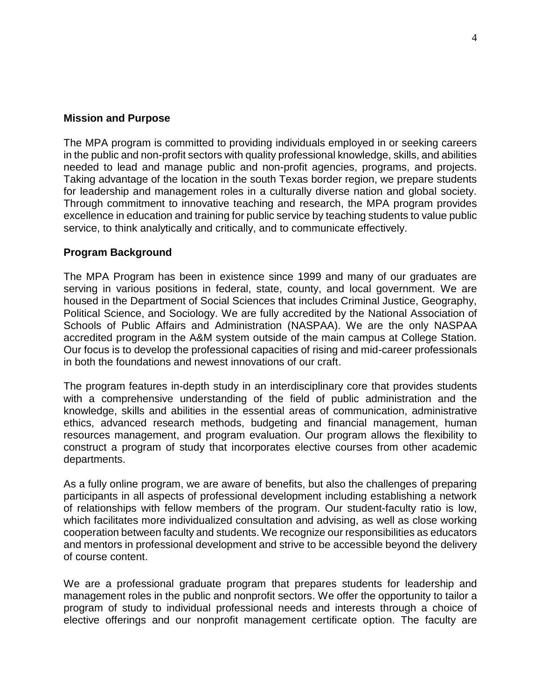#### **Mission and Purpose**

The MPA program is committed to providing individuals employed in or seeking careers in the public and non-profit sectors with quality professional knowledge, skills, and abilities needed to lead and manage public and non-profit agencies, programs, and projects. Taking advantage of the location in the south Texas border region, we prepare students for leadership and management roles in a culturally diverse nation and global society. Through commitment to innovative teaching and research, the MPA program provides excellence in education and training for public service by teaching students to value public service, to think analytically and critically, and to communicate effectively.

#### **Program Background**

The MPA Program has been in existence since 1999 and many of our graduates are serving in various positions in federal, state, county, and local government. We are housed in the Department of Social Sciences that includes Criminal Justice, Geography, Political Science, and Sociology. We are fully accredited by the National Association of Schools of Public Affairs and Administration (NASPAA). We are the only NASPAA accredited program in the A&M system outside of the main campus at College Station. Our focus is to develop the professional capacities of rising and mid-career professionals in both the foundations and newest innovations of our craft.

The program features in-depth study in an interdisciplinary core that provides students with a comprehensive understanding of the field of public administration and the knowledge, skills and abilities in the essential areas of communication, administrative ethics, advanced research methods, budgeting and financial management, human resources management, and program evaluation. Our program allows the flexibility to construct a program of study that incorporates elective courses from other academic departments.

As a fully online program, we are aware of benefits, but also the challenges of preparing participants in all aspects of professional development including establishing a network of relationships with fellow members of the program. Our student-faculty ratio is low, which facilitates more individualized consultation and advising, as well as close working cooperation between faculty and students. We recognize our responsibilities as educators and mentors in professional development and strive to be accessible beyond the delivery of course content.

We are a professional graduate program that prepares students for leadership and management roles in the public and nonprofit sectors. We offer the opportunity to tailor a program of study to individual professional needs and interests through a choice of elective offerings and our nonprofit management certificate option. The faculty are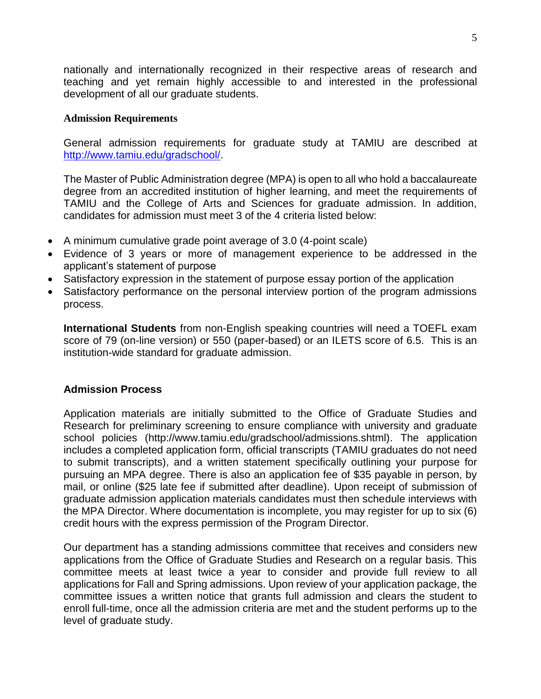nationally and internationally recognized in their respective areas of research and teaching and yet remain highly accessible to and interested in the professional development of all our graduate students.

#### **Admission Requirements**

General admission requirements for graduate study at TAMIU are described at [http://www.tamiu.edu/gradschool/.](http://www.tamiu.edu/gradschool/)

The Master of Public Administration degree (MPA) is open to all who hold a baccalaureate degree from an accredited institution of higher learning, and meet the requirements of TAMIU and the College of Arts and Sciences for graduate admission. In addition, candidates for admission must meet 3 of the 4 criteria listed below:

- A minimum cumulative grade point average of 3.0 (4-point scale)
- Evidence of 3 years or more of management experience to be addressed in the applicant's statement of purpose
- Satisfactory expression in the statement of purpose essay portion of the application
- Satisfactory performance on the personal interview portion of the program admissions process.

**International Students** from non-English speaking countries will need a TOEFL exam score of 79 (on-line version) or 550 (paper-based) or an ILETS score of 6.5. This is an institution-wide standard for graduate admission.

#### **Admission Process**

Application materials are initially submitted to the Office of Graduate Studies and Research for preliminary screening to ensure compliance with university and graduate school policies (http://www.tamiu.edu/gradschool/admissions.shtml). The application includes a completed application form, official transcripts (TAMIU graduates do not need to submit transcripts), and a written statement specifically outlining your purpose for pursuing an MPA degree. There is also an application fee of \$35 payable in person, by mail, or online (\$25 late fee if submitted after deadline). Upon receipt of submission of graduate admission application materials candidates must then schedule interviews with the MPA Director. Where documentation is incomplete, you may register for up to six (6) credit hours with the express permission of the Program Director.

Our department has a standing admissions committee that receives and considers new applications from the Office of Graduate Studies and Research on a regular basis. This committee meets at least twice a year to consider and provide full review to all applications for Fall and Spring admissions. Upon review of your application package, the committee issues a written notice that grants full admission and clears the student to enroll full-time, once all the admission criteria are met and the student performs up to the level of graduate study.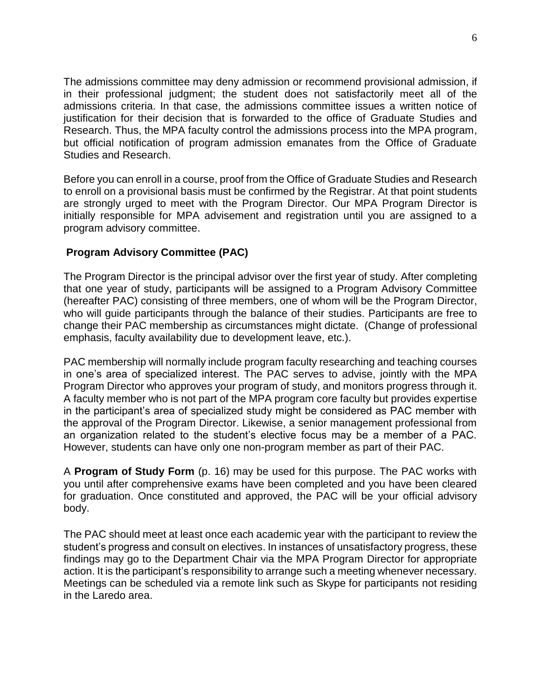The admissions committee may deny admission or recommend provisional admission, if in their professional judgment; the student does not satisfactorily meet all of the admissions criteria. In that case, the admissions committee issues a written notice of justification for their decision that is forwarded to the office of Graduate Studies and Research. Thus, the MPA faculty control the admissions process into the MPA program, but official notification of program admission emanates from the Office of Graduate Studies and Research.

Before you can enroll in a course, proof from the Office of Graduate Studies and Research to enroll on a provisional basis must be confirmed by the Registrar. At that point students are strongly urged to meet with the Program Director. Our MPA Program Director is initially responsible for MPA advisement and registration until you are assigned to a program advisory committee.

## **Program Advisory Committee (PAC)**

The Program Director is the principal advisor over the first year of study. After completing that one year of study, participants will be assigned to a Program Advisory Committee (hereafter PAC) consisting of three members, one of whom will be the Program Director, who will guide participants through the balance of their studies. Participants are free to change their PAC membership as circumstances might dictate. (Change of professional emphasis, faculty availability due to development leave, etc.).

PAC membership will normally include program faculty researching and teaching courses in one's area of specialized interest. The PAC serves to advise, jointly with the MPA Program Director who approves your program of study, and monitors progress through it. A faculty member who is not part of the MPA program core faculty but provides expertise in the participant's area of specialized study might be considered as PAC member with the approval of the Program Director. Likewise, a senior management professional from an organization related to the student's elective focus may be a member of a PAC. However, students can have only one non-program member as part of their PAC.

A **Program of Study Form** (p. 16) may be used for this purpose. The PAC works with you until after comprehensive exams have been completed and you have been cleared for graduation. Once constituted and approved, the PAC will be your official advisory body.

The PAC should meet at least once each academic year with the participant to review the student's progress and consult on electives. In instances of unsatisfactory progress, these findings may go to the Department Chair via the MPA Program Director for appropriate action. It is the participant's responsibility to arrange such a meeting whenever necessary. Meetings can be scheduled via a remote link such as Skype for participants not residing in the Laredo area.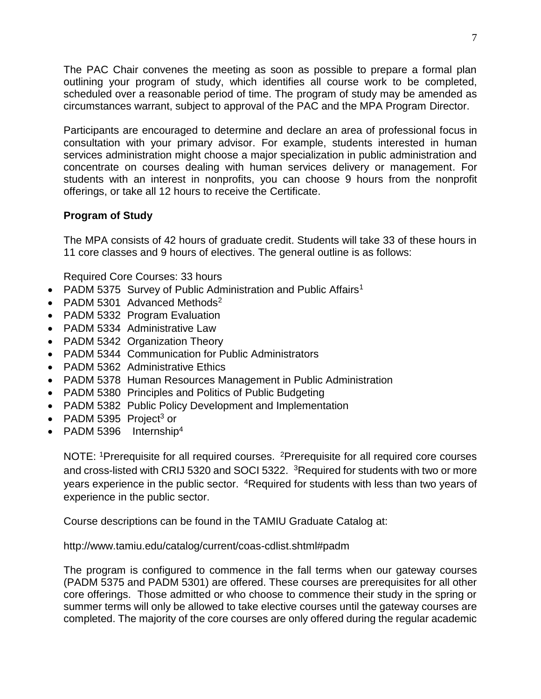The PAC Chair convenes the meeting as soon as possible to prepare a formal plan outlining your program of study, which identifies all course work to be completed, scheduled over a reasonable period of time. The program of study may be amended as circumstances warrant, subject to approval of the PAC and the MPA Program Director.

Participants are encouraged to determine and declare an area of professional focus in consultation with your primary advisor. For example, students interested in human services administration might choose a major specialization in public administration and concentrate on courses dealing with human services delivery or management. For students with an interest in nonprofits, you can choose 9 hours from the nonprofit offerings, or take all 12 hours to receive the Certificate.

## **Program of Study**

The MPA consists of 42 hours of graduate credit. Students will take 33 of these hours in 11 core classes and 9 hours of electives. The general outline is as follows:

Required Core Courses: 33 hours

- PADM 5375 Survey of Public Administration and Public Affairs<sup>1</sup>
- PADM 5301 Advanced Methods $2$
- PADM 5332 Program Evaluation
- PADM 5334 Administrative Law
- PADM 5342 Organization Theory
- PADM 5344 Communication for Public Administrators
- PADM 5362 Administrative Ethics
- PADM 5378 Human Resources Management in Public Administration
- PADM 5380 Principles and Politics of Public Budgeting
- PADM 5382 Public Policy Development and Implementation
- PADM 5395 Project<sup>3</sup> or
- PADM 5396 Internship<sup>4</sup>

NOTE: <sup>1</sup>Prerequisite for all required courses. <sup>2</sup>Prerequisite for all required core courses and cross-listed with CRIJ 5320 and SOCI 5322. <sup>3</sup>Required for students with two or more years experience in the public sector. <sup>4</sup>Required for students with less than two years of experience in the public sector.

Course descriptions can be found in the TAMIU Graduate Catalog at:

http://www.tamiu.edu/catalog/current/coas-cdlist.shtml#padm

The program is configured to commence in the fall terms when our gateway courses (PADM 5375 and PADM 5301) are offered. These courses are prerequisites for all other core offerings. Those admitted or who choose to commence their study in the spring or summer terms will only be allowed to take elective courses until the gateway courses are completed. The majority of the core courses are only offered during the regular academic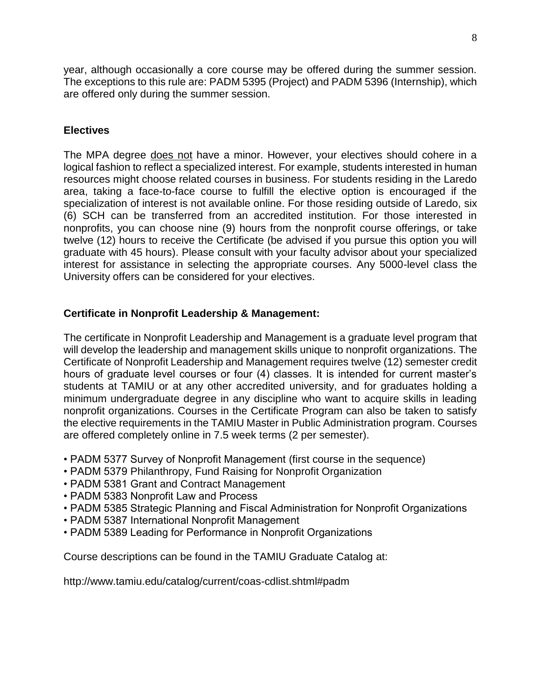year, although occasionally a core course may be offered during the summer session. The exceptions to this rule are: PADM 5395 (Project) and PADM 5396 (Internship), which are offered only during the summer session.

## **Electives**

The MPA degree does not have a minor. However, your electives should cohere in a logical fashion to reflect a specialized interest. For example, students interested in human resources might choose related courses in business. For students residing in the Laredo area, taking a face-to-face course to fulfill the elective option is encouraged if the specialization of interest is not available online. For those residing outside of Laredo, six (6) SCH can be transferred from an accredited institution. For those interested in nonprofits, you can choose nine (9) hours from the nonprofit course offerings, or take twelve (12) hours to receive the Certificate (be advised if you pursue this option you will graduate with 45 hours). Please consult with your faculty advisor about your specialized interest for assistance in selecting the appropriate courses. Any 5000-level class the University offers can be considered for your electives.

#### **Certificate in Nonprofit Leadership & Management:**

The certificate in Nonprofit Leadership and Management is a graduate level program that will develop the leadership and management skills unique to nonprofit organizations. The Certificate of Nonprofit Leadership and Management requires twelve (12) semester credit hours of graduate level courses or four (4) classes. It is intended for current master's students at TAMIU or at any other accredited university, and for graduates holding a minimum undergraduate degree in any discipline who want to acquire skills in leading nonprofit organizations. Courses in the Certificate Program can also be taken to satisfy the elective requirements in the TAMIU Master in Public Administration program. Courses are offered completely online in 7.5 week terms (2 per semester).

- PADM 5377 Survey of Nonprofit Management (first course in the sequence)
- PADM 5379 Philanthropy, Fund Raising for Nonprofit Organization
- PADM 5381 Grant and Contract Management
- PADM 5383 Nonprofit Law and Process
- PADM 5385 Strategic Planning and Fiscal Administration for Nonprofit Organizations
- PADM 5387 International Nonprofit Management
- PADM 5389 Leading for Performance in Nonprofit Organizations

Course descriptions can be found in the TAMIU Graduate Catalog at:

http://www.tamiu.edu/catalog/current/coas-cdlist.shtml#padm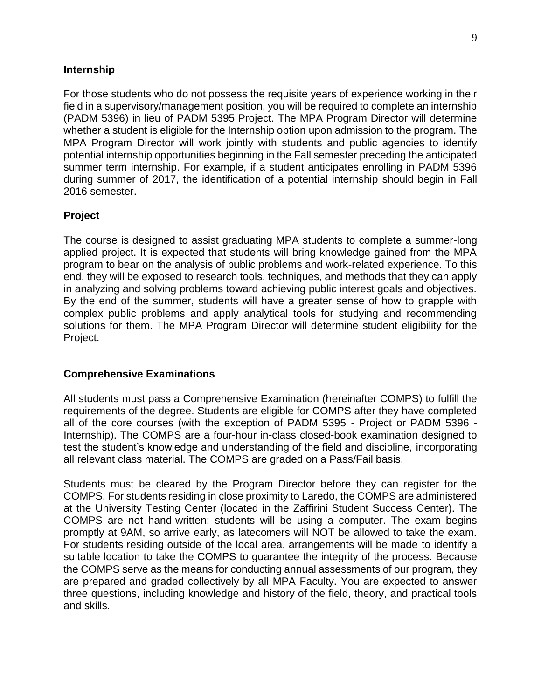#### **Internship**

For those students who do not possess the requisite years of experience working in their field in a supervisory/management position, you will be required to complete an internship (PADM 5396) in lieu of PADM 5395 Project. The MPA Program Director will determine whether a student is eligible for the Internship option upon admission to the program. The MPA Program Director will work jointly with students and public agencies to identify potential internship opportunities beginning in the Fall semester preceding the anticipated summer term internship. For example, if a student anticipates enrolling in PADM 5396 during summer of 2017, the identification of a potential internship should begin in Fall 2016 semester.

#### **Project**

The course is designed to assist graduating MPA students to complete a summer-long applied project. It is expected that students will bring knowledge gained from the MPA program to bear on the analysis of public problems and work-related experience. To this end, they will be exposed to research tools, techniques, and methods that they can apply in analyzing and solving problems toward achieving public interest goals and objectives. By the end of the summer, students will have a greater sense of how to grapple with complex public problems and apply analytical tools for studying and recommending solutions for them. The MPA Program Director will determine student eligibility for the Project.

#### **Comprehensive Examinations**

All students must pass a Comprehensive Examination (hereinafter COMPS) to fulfill the requirements of the degree. Students are eligible for COMPS after they have completed all of the core courses (with the exception of PADM 5395 - Project or PADM 5396 - Internship). The COMPS are a four-hour in-class closed-book examination designed to test the student's knowledge and understanding of the field and discipline, incorporating all relevant class material. The COMPS are graded on a Pass/Fail basis.

Students must be cleared by the Program Director before they can register for the COMPS. For students residing in close proximity to Laredo, the COMPS are administered at the University Testing Center (located in the Zaffirini Student Success Center). The COMPS are not hand-written; students will be using a computer. The exam begins promptly at 9AM, so arrive early, as latecomers will NOT be allowed to take the exam. For students residing outside of the local area, arrangements will be made to identify a suitable location to take the COMPS to guarantee the integrity of the process. Because the COMPS serve as the means for conducting annual assessments of our program, they are prepared and graded collectively by all MPA Faculty. You are expected to answer three questions, including knowledge and history of the field, theory, and practical tools and skills.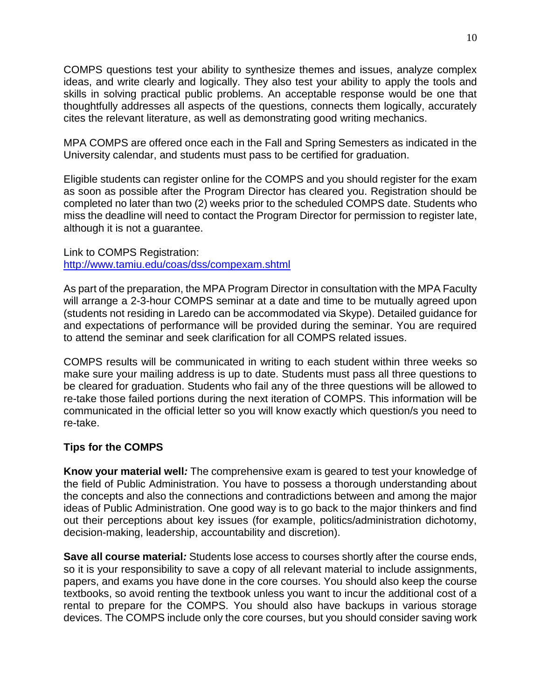COMPS questions test your ability to synthesize themes and issues, analyze complex ideas, and write clearly and logically. They also test your ability to apply the tools and skills in solving practical public problems. An acceptable response would be one that thoughtfully addresses all aspects of the questions, connects them logically, accurately cites the relevant literature, as well as demonstrating good writing mechanics.

MPA COMPS are offered once each in the Fall and Spring Semesters as indicated in the University calendar, and students must pass to be certified for graduation.

Eligible students can register online for the COMPS and you should register for the exam as soon as possible after the Program Director has cleared you. Registration should be completed no later than two (2) weeks prior to the scheduled COMPS date. Students who miss the deadline will need to contact the Program Director for permission to register late, although it is not a guarantee.

#### Link to COMPS Registration: <http://www.tamiu.edu/coas/dss/compexam.shtml>

As part of the preparation, the MPA Program Director in consultation with the MPA Faculty will arrange a 2-3-hour COMPS seminar at a date and time to be mutually agreed upon (students not residing in Laredo can be accommodated via Skype). Detailed guidance for and expectations of performance will be provided during the seminar. You are required to attend the seminar and seek clarification for all COMPS related issues.

COMPS results will be communicated in writing to each student within three weeks so make sure your mailing address is up to date. Students must pass all three questions to be cleared for graduation. Students who fail any of the three questions will be allowed to re-take those failed portions during the next iteration of COMPS. This information will be communicated in the official letter so you will know exactly which question/s you need to re-take.

## **Tips for the COMPS**

**Know your material well***:* The comprehensive exam is geared to test your knowledge of the field of Public Administration. You have to possess a thorough understanding about the concepts and also the connections and contradictions between and among the major ideas of Public Administration. One good way is to go back to the major thinkers and find out their perceptions about key issues (for example, politics/administration dichotomy, decision-making, leadership, accountability and discretion).

**Save all course material***:* Students lose access to courses shortly after the course ends, so it is your responsibility to save a copy of all relevant material to include assignments, papers, and exams you have done in the core courses. You should also keep the course textbooks, so avoid renting the textbook unless you want to incur the additional cost of a rental to prepare for the COMPS. You should also have backups in various storage devices. The COMPS include only the core courses, but you should consider saving work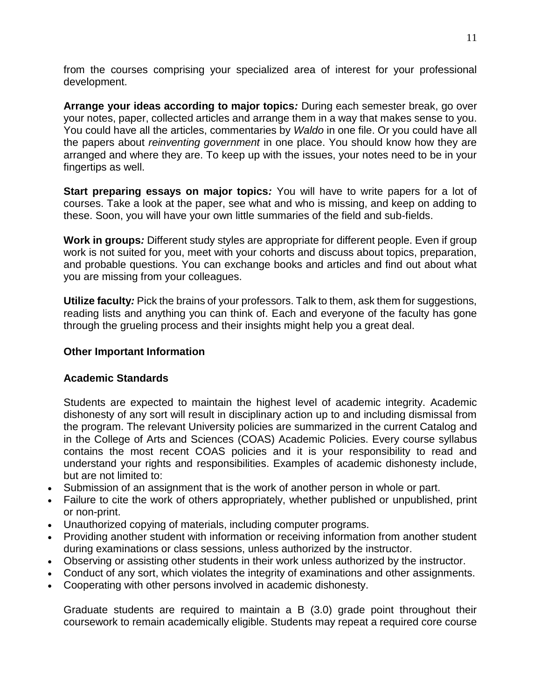from the courses comprising your specialized area of interest for your professional development.

**Arrange your ideas according to major topics***:* During each semester break, go over your notes, paper, collected articles and arrange them in a way that makes sense to you. You could have all the articles, commentaries by *Waldo* in one file. Or you could have all the papers about *reinventing government* in one place. You should know how they are arranged and where they are. To keep up with the issues, your notes need to be in your fingertips as well.

**Start preparing essays on major topics***:* You will have to write papers for a lot of courses. Take a look at the paper, see what and who is missing, and keep on adding to these. Soon, you will have your own little summaries of the field and sub-fields.

**Work in groups***:* Different study styles are appropriate for different people. Even if group work is not suited for you, meet with your cohorts and discuss about topics, preparation, and probable questions. You can exchange books and articles and find out about what you are missing from your colleagues.

**Utilize faculty***:* Pick the brains of your professors. Talk to them, ask them for suggestions, reading lists and anything you can think of. Each and everyone of the faculty has gone through the grueling process and their insights might help you a great deal.

## **Other Important Information**

## **Academic Standards**

Students are expected to maintain the highest level of academic integrity. Academic dishonesty of any sort will result in disciplinary action up to and including dismissal from the program. The relevant University policies are summarized in the current Catalog and in the College of Arts and Sciences (COAS) Academic Policies. Every course syllabus contains the most recent COAS policies and it is your responsibility to read and understand your rights and responsibilities. Examples of academic dishonesty include, but are not limited to:

- Submission of an assignment that is the work of another person in whole or part.
- Failure to cite the work of others appropriately, whether published or unpublished, print or non-print.
- Unauthorized copying of materials, including computer programs.
- Providing another student with information or receiving information from another student during examinations or class sessions, unless authorized by the instructor.
- Observing or assisting other students in their work unless authorized by the instructor.
- Conduct of any sort, which violates the integrity of examinations and other assignments.
- Cooperating with other persons involved in academic dishonesty.

Graduate students are required to maintain a B (3.0) grade point throughout their coursework to remain academically eligible. Students may repeat a required core course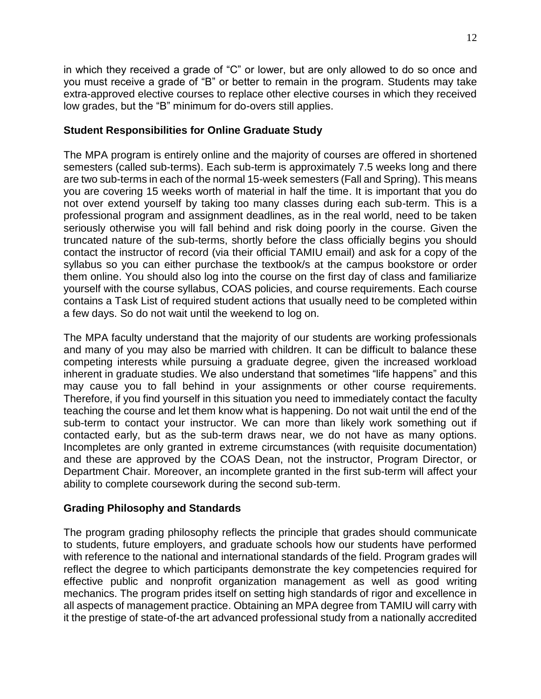in which they received a grade of "C" or lower, but are only allowed to do so once and you must receive a grade of "B" or better to remain in the program. Students may take extra-approved elective courses to replace other elective courses in which they received low grades, but the "B" minimum for do-overs still applies.

## **Student Responsibilities for Online Graduate Study**

The MPA program is entirely online and the majority of courses are offered in shortened semesters (called sub-terms). Each sub-term is approximately 7.5 weeks long and there are two sub-terms in each of the normal 15-week semesters (Fall and Spring). This means you are covering 15 weeks worth of material in half the time. It is important that you do not over extend yourself by taking too many classes during each sub-term. This is a professional program and assignment deadlines, as in the real world, need to be taken seriously otherwise you will fall behind and risk doing poorly in the course. Given the truncated nature of the sub-terms, shortly before the class officially begins you should contact the instructor of record (via their official TAMIU email) and ask for a copy of the syllabus so you can either purchase the textbook/s at the campus bookstore or order them online. You should also log into the course on the first day of class and familiarize yourself with the course syllabus, COAS policies, and course requirements. Each course contains a Task List of required student actions that usually need to be completed within a few days. So do not wait until the weekend to log on.

The MPA faculty understand that the majority of our students are working professionals and many of you may also be married with children. It can be difficult to balance these competing interests while pursuing a graduate degree, given the increased workload inherent in graduate studies. We also understand that sometimes "life happens" and this may cause you to fall behind in your assignments or other course requirements. Therefore, if you find yourself in this situation you need to immediately contact the faculty teaching the course and let them know what is happening. Do not wait until the end of the sub-term to contact your instructor. We can more than likely work something out if contacted early, but as the sub-term draws near, we do not have as many options. Incompletes are only granted in extreme circumstances (with requisite documentation) and these are approved by the COAS Dean, not the instructor, Program Director, or Department Chair. Moreover, an incomplete granted in the first sub-term will affect your ability to complete coursework during the second sub-term.

## **Grading Philosophy and Standards**

The program grading philosophy reflects the principle that grades should communicate to students, future employers, and graduate schools how our students have performed with reference to the national and international standards of the field. Program grades will reflect the degree to which participants demonstrate the key competencies required for effective public and nonprofit organization management as well as good writing mechanics. The program prides itself on setting high standards of rigor and excellence in all aspects of management practice. Obtaining an MPA degree from TAMIU will carry with it the prestige of state-of-the art advanced professional study from a nationally accredited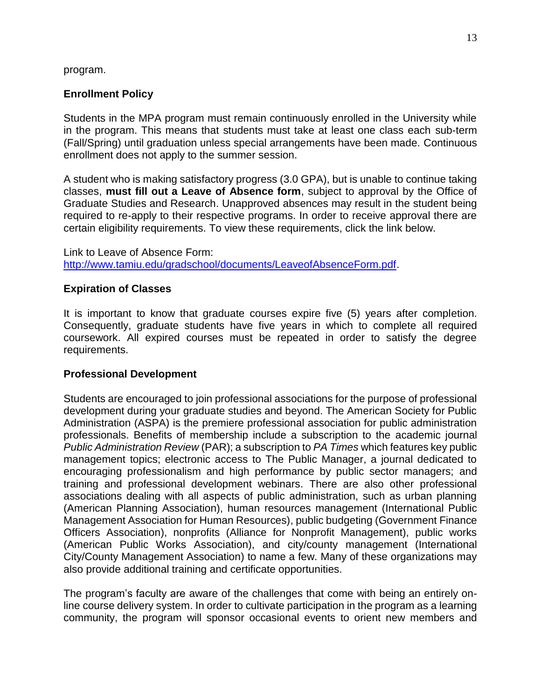program.

## **Enrollment Policy**

Students in the MPA program must remain continuously enrolled in the University while in the program. This means that students must take at least one class each sub-term (Fall/Spring) until graduation unless special arrangements have been made. Continuous enrollment does not apply to the summer session.

A student who is making satisfactory progress (3.0 GPA), but is unable to continue taking classes, **must fill out a Leave of Absence form**, subject to approval by the Office of Graduate Studies and Research. Unapproved absences may result in the student being required to re-apply to their respective programs. In order to receive approval there are certain eligibility requirements. To view these requirements, click the link below.

Link to Leave of Absence Form: [http://www.tamiu.edu/gradschool/documents/LeaveofAbsenceForm.pdf.](http://www.tamiu.edu/gradschool/documents/LeaveofAbsenceForm.pdf)

#### **Expiration of Classes**

It is important to know that graduate courses expire five (5) years after completion. Consequently, graduate students have five years in which to complete all required coursework. All expired courses must be repeated in order to satisfy the degree requirements.

#### **Professional Development**

Students are encouraged to join professional associations for the purpose of professional development during your graduate studies and beyond. The American Society for Public Administration (ASPA) is the premiere professional association for public administration professionals. Benefits of membership include a subscription to the academic journal *Public Administration Review* (PAR); a subscription to *PA Times* which features key public management topics; electronic access to The Public Manager, a journal dedicated to encouraging professionalism and high performance by public sector managers; and training and professional development webinars. There are also other professional associations dealing with all aspects of public administration, such as urban planning (American Planning Association), human resources management (International Public Management Association for Human Resources), public budgeting (Government Finance Officers Association), nonprofits (Alliance for Nonprofit Management), public works (American Public Works Association), and city/county management (International City/County Management Association) to name a few. Many of these organizations may also provide additional training and certificate opportunities.

The program's faculty are aware of the challenges that come with being an entirely online course delivery system. In order to cultivate participation in the program as a learning community, the program will sponsor occasional events to orient new members and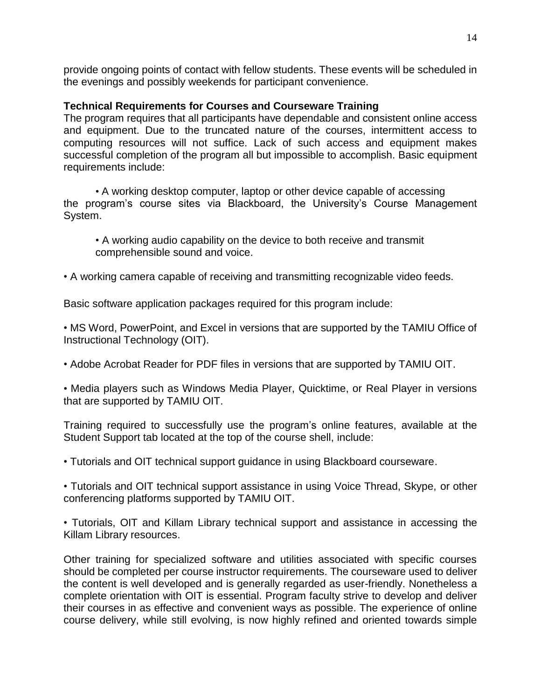provide ongoing points of contact with fellow students. These events will be scheduled in the evenings and possibly weekends for participant convenience.

#### **Technical Requirements for Courses and Courseware Training**

The program requires that all participants have dependable and consistent online access and equipment. Due to the truncated nature of the courses, intermittent access to computing resources will not suffice. Lack of such access and equipment makes successful completion of the program all but impossible to accomplish. Basic equipment requirements include:

• A working desktop computer, laptop or other device capable of accessing the program's course sites via Blackboard, the University's Course Management System.

• A working audio capability on the device to both receive and transmit comprehensible sound and voice.

• A working camera capable of receiving and transmitting recognizable video feeds.

Basic software application packages required for this program include:

• MS Word, PowerPoint, and Excel in versions that are supported by the TAMIU Office of Instructional Technology (OIT).

• Adobe Acrobat Reader for PDF files in versions that are supported by TAMIU OIT.

• Media players such as Windows Media Player, Quicktime, or Real Player in versions that are supported by TAMIU OIT.

Training required to successfully use the program's online features, available at the Student Support tab located at the top of the course shell, include:

• Tutorials and OIT technical support guidance in using Blackboard courseware.

• Tutorials and OIT technical support assistance in using Voice Thread, Skype, or other conferencing platforms supported by TAMIU OIT.

• Tutorials, OIT and Killam Library technical support and assistance in accessing the Killam Library resources.

Other training for specialized software and utilities associated with specific courses should be completed per course instructor requirements. The courseware used to deliver the content is well developed and is generally regarded as user-friendly. Nonetheless a complete orientation with OIT is essential. Program faculty strive to develop and deliver their courses in as effective and convenient ways as possible. The experience of online course delivery, while still evolving, is now highly refined and oriented towards simple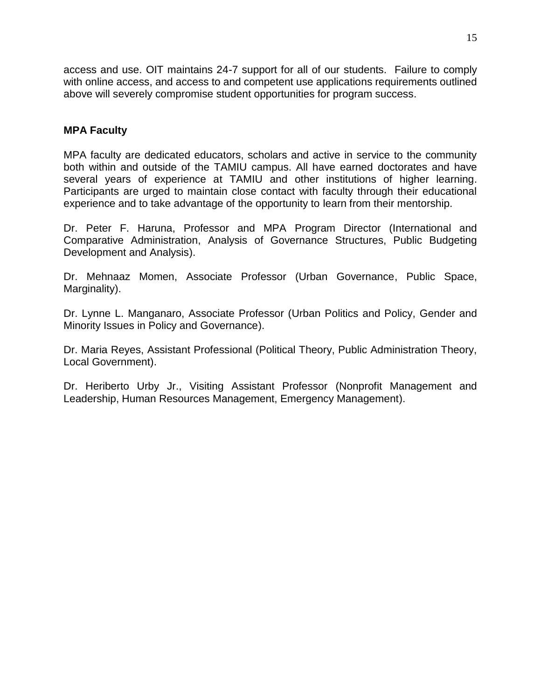access and use. OIT maintains 24-7 support for all of our students. Failure to comply with online access, and access to and competent use applications requirements outlined above will severely compromise student opportunities for program success.

### **MPA Faculty**

MPA faculty are dedicated educators, scholars and active in service to the community both within and outside of the TAMIU campus. All have earned doctorates and have several years of experience at TAMIU and other institutions of higher learning. Participants are urged to maintain close contact with faculty through their educational experience and to take advantage of the opportunity to learn from their mentorship.

Dr. Peter F. Haruna, Professor and MPA Program Director (International and Comparative Administration, Analysis of Governance Structures, Public Budgeting Development and Analysis).

Dr. Mehnaaz Momen, Associate Professor (Urban Governance, Public Space, Marginality).

Dr. Lynne L. Manganaro, Associate Professor (Urban Politics and Policy, Gender and Minority Issues in Policy and Governance).

Dr. Maria Reyes, Assistant Professional (Political Theory, Public Administration Theory, Local Government).

Dr. Heriberto Urby Jr., Visiting Assistant Professor (Nonprofit Management and Leadership, Human Resources Management, Emergency Management).